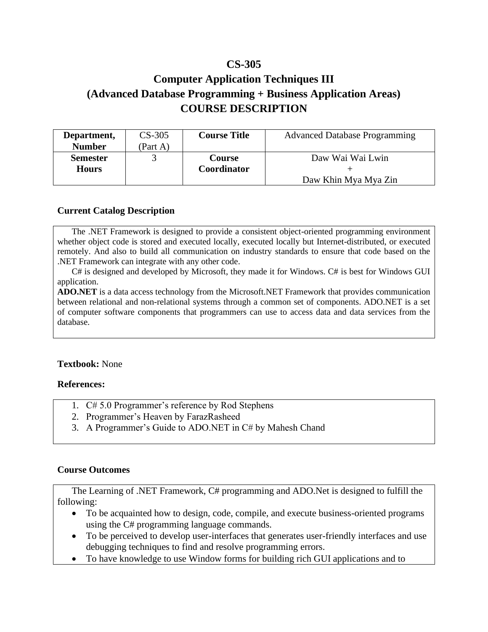## **CS-305**

# **Computer Application Techniques III (Advanced Database Programming + Business Application Areas) COURSE DESCRIPTION**

| Department,     | $CS-305$ | <b>Course Title</b> | <b>Advanced Database Programming</b> |
|-----------------|----------|---------------------|--------------------------------------|
| <b>Number</b>   | (Part A) |                     |                                      |
| <b>Semester</b> |          | Course              | Daw Wai Wai Lwin                     |
| <b>Hours</b>    |          | Coordinator         |                                      |
|                 |          |                     | Daw Khin Mya Mya Zin                 |

#### **Current Catalog Description**

The .NET Framework is designed to provide a consistent object-oriented programming environment whether object code is stored and executed locally, executed locally but Internet-distributed, or executed remotely. And also to build all communication on industry standards to ensure that code based on the .NET Framework can integrate with any other code.

C# is designed and developed by Microsoft, they made it for Windows. C# is best for Windows GUI application.

**ADO.NET** is a data access technology from the Microsoft.NET Framework that provides communication between relational and non-relational systems through a common set of components. ADO.NET is a set of computer software components that programmers can use to access data and data services from the database.

#### **Textbook:** None

#### **References:**

- 1. C# 5.0 Programmer's reference by Rod Stephens
- 2. Programmer's Heaven by FarazRasheed
- 3. A Programmer's Guide to ADO.NET in C# by Mahesh Chand

#### **Course Outcomes**

The Learning of .NET Framework, C# programming and ADO.Net is designed to fulfill the following:

- To be acquainted how to design, code, compile, and execute business-oriented programs using the C# programming language commands.
- To be perceived to develop user-interfaces that generates user-friendly interfaces and use debugging techniques to find and resolve programming errors.
- To have knowledge to use Window forms for building rich GUI applications and to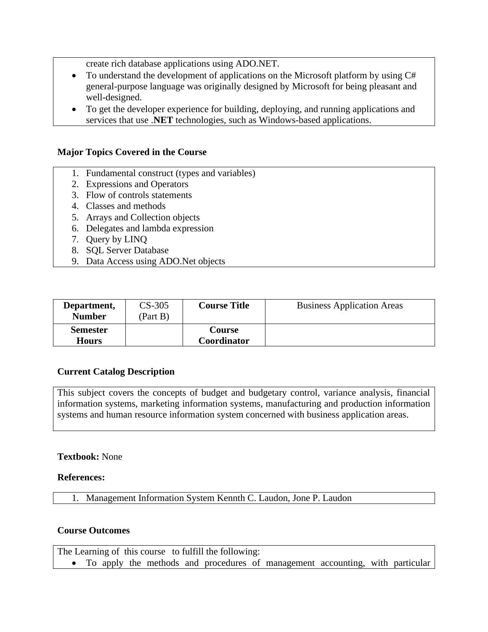create rich database applications using ADO.NET.

- To understand the development of applications on the Microsoft platform by using C# general-purpose language was originally designed by Microsoft for being pleasant and well-designed.
- To get the developer experience for building, deploying, and running applications and services that use .**NET** technologies, such as Windows-based applications.

#### **Major Topics Covered in the Course**

- 1. Fundamental construct (types and variables)
- 2. Expressions and Operators
- 3. Flow of controls statements
- 4. Classes and methods
- 5. Arrays and Collection objects
- 6. Delegates and lambda expression
- 7. Query by LINQ
- 8. SQL Server Database
- 9. Data Access using ADO.Net objects

| Department,<br><b>Number</b>    | $CS-305$<br>(Part $B^{\gamma}$ | <b>Course Title</b>          | <b>Business Application Areas</b> |
|---------------------------------|--------------------------------|------------------------------|-----------------------------------|
| <b>Semester</b><br><b>Hours</b> |                                | <b>Course</b><br>Coordinator |                                   |

#### **Current Catalog Description**

This subject covers the concepts of budget and budgetary control, variance analysis, financial information systems, marketing information systems, manufacturing and production information systems and human resource information system concerned with business application areas.

#### **Textbook:** None

#### **References:**

1. Management Information System Kennth C. Laudon, Jone P. Laudon

#### **Course Outcomes**

|  |  | The Learning of this course to fulfill the following: |                                                                                 |  |  |
|--|--|-------------------------------------------------------|---------------------------------------------------------------------------------|--|--|
|  |  |                                                       | • To apply the methods and procedures of management accounting, with particular |  |  |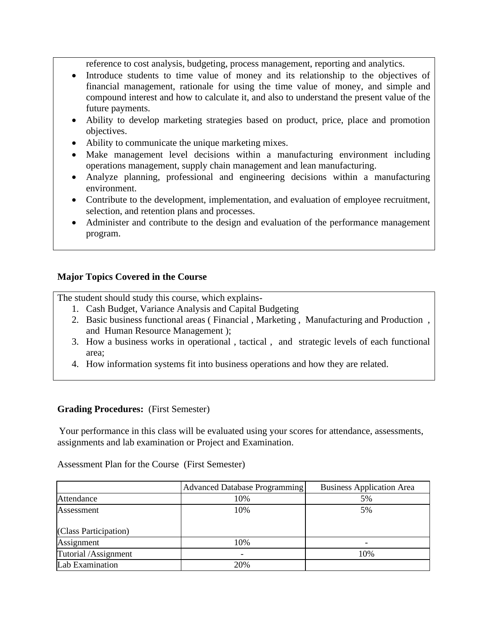reference to cost analysis, budgeting, process management, reporting and analytics.

- Introduce students to time value of money and its relationship to the objectives of financial management, rationale for using the time value of money, and simple and compound interest and how to calculate it, and also to understand the present value of the future payments.
- Ability to develop marketing strategies based on product, price, place and promotion objectives.
- Ability to communicate the unique marketing mixes.
- Make management level decisions within a manufacturing environment including operations management, supply chain management and lean manufacturing.
- Analyze planning, professional and engineering decisions within a manufacturing environment.
- Contribute to the development, implementation, and evaluation of employee recruitment, selection, and retention plans and processes.
- Administer and contribute to the design and evaluation of the performance management program.

#### **Major Topics Covered in the Course**

The student should study this course, which explains-

- 1. Cash Budget, Variance Analysis and Capital Budgeting
- 2. Basic business functional areas ( Financial , Marketing , Manufacturing and Production , and Human Resource Management );
- 3. How a business works in operational , tactical , and strategic levels of each functional area;
- 4. How information systems fit into business operations and how they are related.

#### **Grading Procedures:** (First Semester)

Your performance in this class will be evaluated using your scores for attendance, assessments, assignments and lab examination or Project and Examination.

|                       | <b>Advanced Database Programming</b> | <b>Business Application Area</b> |
|-----------------------|--------------------------------------|----------------------------------|
| Attendance            | 10%                                  | 5%                               |
| Assessment            | 10%                                  | 5%                               |
| (Class Participation) |                                      |                                  |
| Assignment            | 10%                                  |                                  |
| Tutorial /Assignment  |                                      | 10%                              |
| Lab Examination       | 20%                                  |                                  |

Assessment Plan for the Course (First Semester)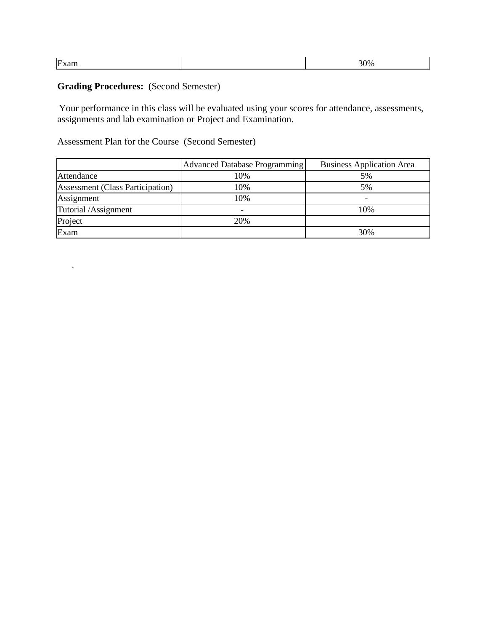|  | E | $\gamma_{06}$ |
|--|---|---------------|
|--|---|---------------|

## **Grading Procedures:** (Second Semester)

.

Your performance in this class will be evaluated using your scores for attendance, assessments, assignments and lab examination or Project and Examination.

### Assessment Plan for the Course (Second Semester)

|                                         | Advanced Database Programming | <b>Business Application Area</b> |
|-----------------------------------------|-------------------------------|----------------------------------|
| Attendance                              | 10%                           | 5%                               |
| <b>Assessment (Class Participation)</b> | 10%                           | 5%                               |
| Assignment                              | 10%                           |                                  |
| Tutorial /Assignment                    |                               | 10%                              |
| Project                                 | 20%                           |                                  |
| Exam                                    |                               | 30%                              |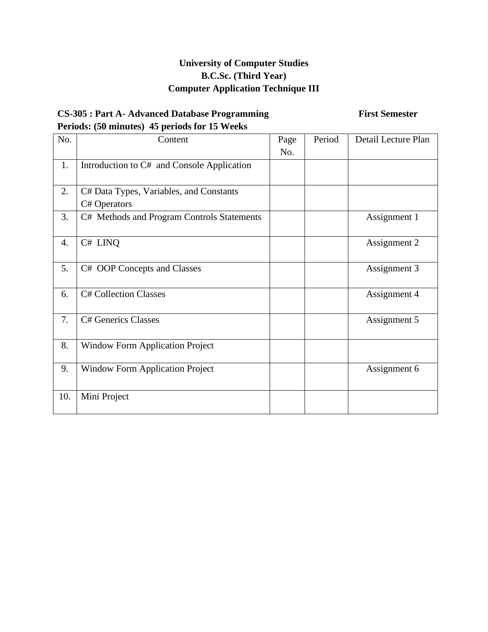### **CS-305 : Part A- Advanced Database Programming First Semester Periods: (50 minutes) 45 periods for 15 Weeks**

| No. | Content                                                 | Page | Period | Detail Lecture Plan |
|-----|---------------------------------------------------------|------|--------|---------------------|
|     |                                                         | No.  |        |                     |
| 1.  | Introduction to C# and Console Application              |      |        |                     |
| 2.  | C# Data Types, Variables, and Constants<br>C# Operators |      |        |                     |
| 3.  | C# Methods and Program Controls Statements              |      |        | Assignment 1        |
| 4.  | C# LINQ                                                 |      |        | Assignment 2        |
| 5.  | C# OOP Concepts and Classes                             |      |        | Assignment 3        |
| 6.  | <b>C# Collection Classes</b>                            |      |        | Assignment 4        |
| 7.  | <b>C# Generics Classes</b>                              |      |        | Assignment 5        |
| 8.  | <b>Window Form Application Project</b>                  |      |        |                     |
| 9.  | <b>Window Form Application Project</b>                  |      |        | Assignment 6        |
| 10. | Mini Project                                            |      |        |                     |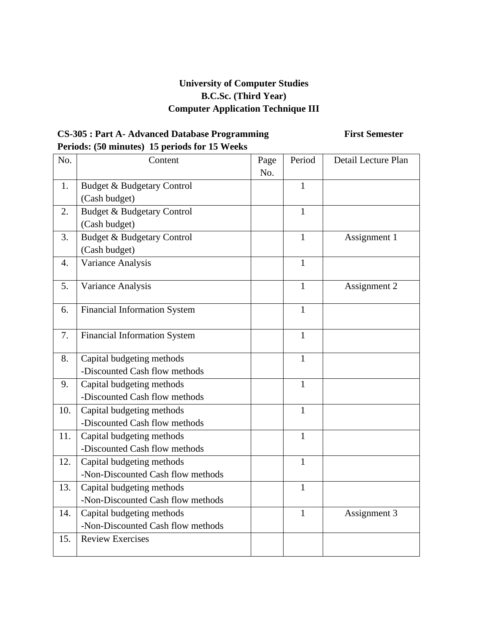## **CS-305 : Part A- Advanced Database Programming First Semester Periods: (50 minutes) 15 periods for 15 Weeks**

| No. | Content                               | Page | Period       | Detail Lecture Plan |
|-----|---------------------------------------|------|--------------|---------------------|
|     |                                       | No.  |              |                     |
| 1.  | Budget & Budgetary Control            |      | $\mathbf{1}$ |                     |
|     | (Cash budget)                         |      |              |                     |
| 2.  | <b>Budget &amp; Budgetary Control</b> |      | 1            |                     |
|     | (Cash budget)                         |      |              |                     |
| 3.  | <b>Budget &amp; Budgetary Control</b> |      | $\mathbf{1}$ | Assignment 1        |
|     | (Cash budget)                         |      |              |                     |
| 4.  | Variance Analysis                     |      | $\mathbf{1}$ |                     |
| 5.  | Variance Analysis                     |      | $\mathbf{1}$ | Assignment 2        |
|     |                                       |      |              |                     |
| 6.  | <b>Financial Information System</b>   |      | $\mathbf{1}$ |                     |
|     |                                       |      |              |                     |
| 7.  | <b>Financial Information System</b>   |      | $\mathbf{1}$ |                     |
|     |                                       |      |              |                     |
| 8.  | Capital budgeting methods             |      | $\mathbf{1}$ |                     |
|     | -Discounted Cash flow methods         |      |              |                     |
| 9.  | Capital budgeting methods             |      | $\mathbf{1}$ |                     |
|     | -Discounted Cash flow methods         |      |              |                     |
| 10. | Capital budgeting methods             |      | $\mathbf{1}$ |                     |
|     | -Discounted Cash flow methods         |      |              |                     |
| 11. | Capital budgeting methods             |      | $\mathbf{1}$ |                     |
|     | -Discounted Cash flow methods         |      |              |                     |
| 12. | Capital budgeting methods             |      | $\mathbf{1}$ |                     |
|     | -Non-Discounted Cash flow methods     |      |              |                     |
| 13. | Capital budgeting methods             |      | $\mathbf{1}$ |                     |
|     | -Non-Discounted Cash flow methods     |      |              |                     |
| 14. | Capital budgeting methods             |      | $\mathbf{1}$ | Assignment 3        |
|     | -Non-Discounted Cash flow methods     |      |              |                     |
| 15. | <b>Review Exercises</b>               |      |              |                     |
|     |                                       |      |              |                     |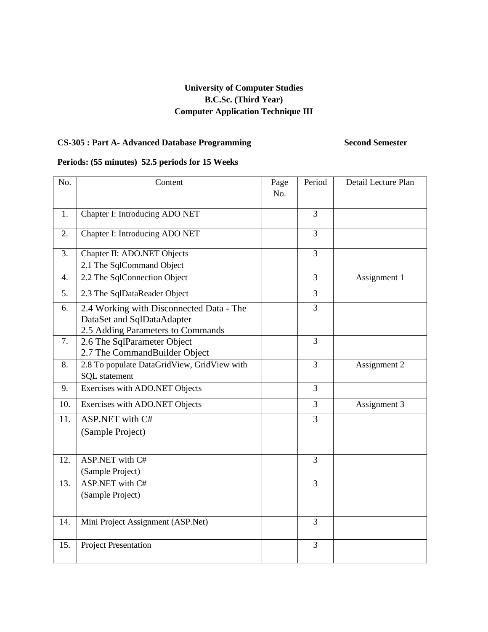## **CS-305 : Part A- Advanced Database Programming Second Semester**

#### **Periods: (55 minutes) 52.5 periods for 15 Weeks**

| No. | Content                                                                                                     | Page<br>No. | Period         | Detail Lecture Plan |
|-----|-------------------------------------------------------------------------------------------------------------|-------------|----------------|---------------------|
|     |                                                                                                             |             |                |                     |
| 1.  | Chapter I: Introducing ADO NET                                                                              |             | 3              |                     |
| 2.  | Chapter I: Introducing ADO NET                                                                              |             | 3              |                     |
| 3.  | Chapter II: ADO.NET Objects                                                                                 |             | 3              |                     |
|     | 2.1 The SqlCommand Object                                                                                   |             |                |                     |
| 4.  | 2.2 The SqlConnection Object                                                                                |             | 3              | Assignment 1        |
| 5.  | 2.3 The SqlDataReader Object                                                                                |             | 3              |                     |
| 6.  | 2.4 Working with Disconnected Data - The<br>DataSet and SqlDataAdapter<br>2.5 Adding Parameters to Commands |             | 3              |                     |
| 7.  | 2.6 The SqlParameter Object<br>2.7 The CommandBuilder Object                                                |             | $\overline{3}$ |                     |
| 8.  | 2.8 To populate DataGridView, GridView with<br>SQL statement                                                |             | 3              | Assignment 2        |
| 9.  | Exercises with ADO.NET Objects                                                                              |             | 3              |                     |
| 10. | Exercises with ADO.NET Objects                                                                              |             | 3              | Assignment 3        |
| 11. | ASP.NET with C#<br>(Sample Project)                                                                         |             | $\overline{3}$ |                     |
| 12. | ASP.NET with C#<br>(Sample Project)                                                                         |             | $\overline{3}$ |                     |
| 13. | ASP.NET with C#<br>(Sample Project)                                                                         |             | 3              |                     |
| 14. | Mini Project Assignment (ASP.Net)                                                                           |             | 3              |                     |
| 15. | <b>Project Presentation</b>                                                                                 |             | 3              |                     |